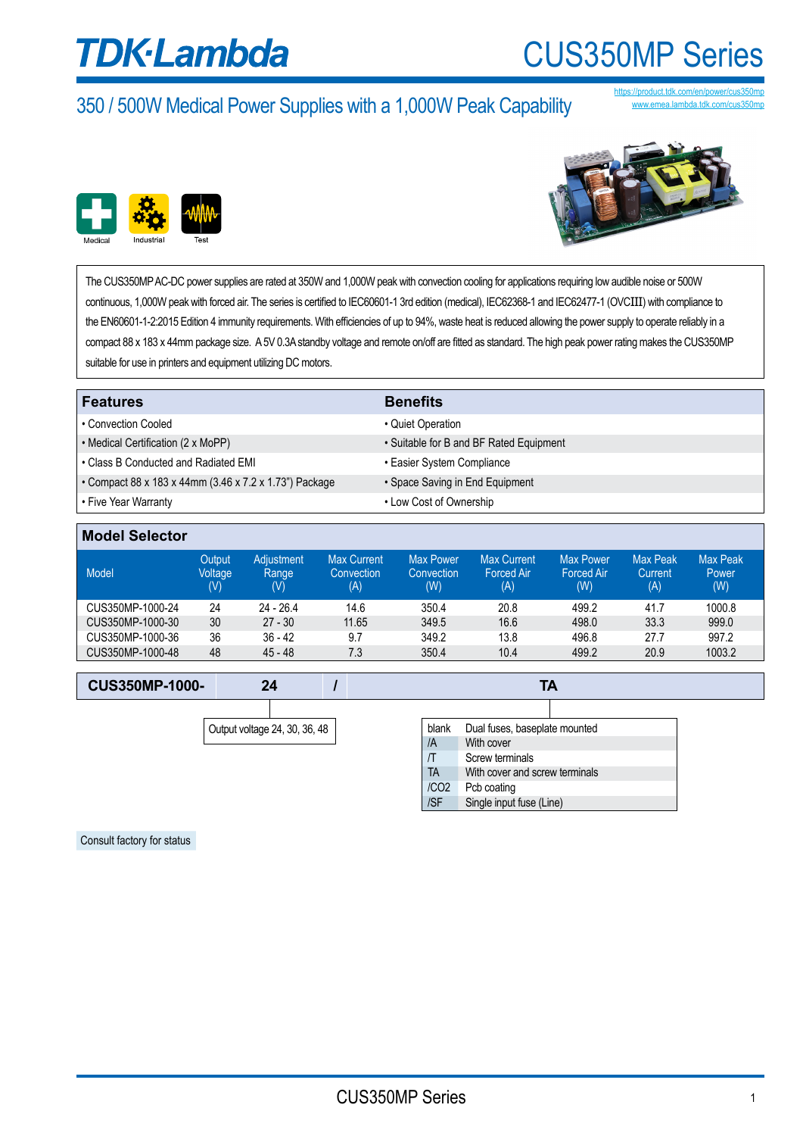# **TDK**·Lambda

### CUS350MP Series

### 350 / 500W Medical Power Supplies with a 1,000W Peak Capability

//product.tdk.com www.emea.lambda.tdk.com/cus350mr





The CUS350MP AC-DC power supplies are rated at 350W and 1,000W peak with convection cooling for applications requiring low audible noise or 500W continuous, 1,000W peak with forced air. The series is certified to IEC60601-1 3rd edition (medical), IEC62368-1 and IEC62477-1 (OVCIII) with compliance to the EN60601-1-2:2015 Edition 4 immunity requirements. With efficiencies of up to 94%, waste heat is reduced allowing the power supply to operate reliably in a compact 88 x 183 x 44mm package size. A 5V 0.3A standby voltage and remote on/off are fitted as standard. The high peak power rating makes the CUS350MP suitable for use in printers and equipment utilizing DC motors.

| <b>Features</b>                                        | <b>Benefits</b>                         |
|--------------------------------------------------------|-----------------------------------------|
| • Convection Cooled                                    | • Quiet Operation                       |
| • Medical Certification (2 x MoPP)                     | • Suitable for B and BF Rated Equipment |
| • Class B Conducted and Radiated EMI                   | • Easier System Compliance              |
| • Compact 88 x 183 x 44mm (3.46 x 7.2 x 1.73") Package | • Space Saving in End Equipment         |
| • Five Year Warranty                                   | • Low Cost of Ownership                 |

| <b>Model Selector</b> |  |  |
|-----------------------|--|--|
|                       |  |  |

| Model            | Output<br>Voltage<br>(V) | <b>Adiustment</b><br>Range<br>(V) | <b>Max Current</b><br>Convection<br>(A) | <b>Max Power</b><br>Convection<br>(W) | <b>Max Current</b><br><b>Forced Air</b><br>(A) | <b>Max Power</b><br><b>Forced Air</b><br>(W) | <b>Max Peak</b><br>Current<br>(A) | Max Peak<br>Power<br>(W) |
|------------------|--------------------------|-----------------------------------|-----------------------------------------|---------------------------------------|------------------------------------------------|----------------------------------------------|-----------------------------------|--------------------------|
| CUS350MP-1000-24 | 24                       | $24 - 26.4$                       | 14.6                                    | 350.4                                 | 20.8                                           | 499.2                                        | 41.7                              | 1000.8                   |
| CUS350MP-1000-30 | 30                       | $27 - 30$                         | 11.65                                   | 349.5                                 | 16.6                                           | 498.0                                        | 33.3                              | 999.0                    |
| CUS350MP-1000-36 | 36                       | $36 - 42$                         | 9.7                                     | 349.2                                 | 13.8                                           | 496.8                                        | 27.7                              | 997.2                    |
| CUS350MP-1000-48 | 48                       | $45 - 48$                         | 7.3                                     | 350.4                                 | 10.4                                           | 499.2                                        | 20.9                              | 1003.2                   |

| <b>CUS350MP-1000-</b> |  |  |  |
|-----------------------|--|--|--|
|-----------------------|--|--|--|

| Output voltage 24, 30, 36, 48 |  |
|-------------------------------|--|

| Output voltage 24, 30, 36, 48 | blank | Dual fuses, baseplate mounted |                                |  |
|-------------------------------|-------|-------------------------------|--------------------------------|--|
|                               | /A    | With cover                    |                                |  |
|                               |       |                               | Screw terminals                |  |
|                               |       | <b>TA</b>                     | With cover and screw terminals |  |
|                               |       | /CO <sub>2</sub>              | Pcb coating                    |  |
|                               |       | /SF                           | Single input fuse (Line)       |  |

Consult factory for status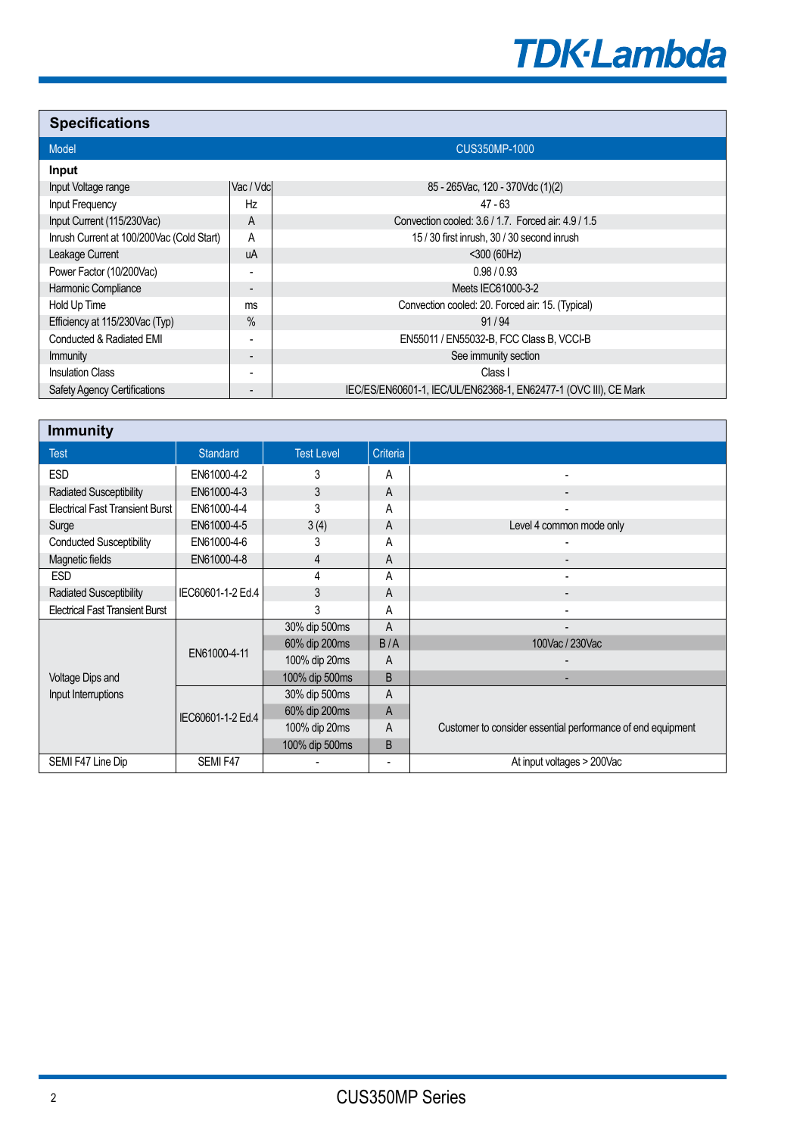

### **Specifications**

| <b>Model</b>                              |                          | <b>CUS350MP-1000</b>                                             |  |  |
|-------------------------------------------|--------------------------|------------------------------------------------------------------|--|--|
|                                           |                          |                                                                  |  |  |
| Input                                     |                          |                                                                  |  |  |
| Input Voltage range                       | Vac / Vdc                | 85 - 265 Vac. 120 - 370 Vdc (1) (2)                              |  |  |
| Input Frequency                           | Hz                       | 47 - 63                                                          |  |  |
| Input Current (115/230Vac)                | A                        | Convection cooled: 3.6 / 1.7. Forced air: 4.9 / 1.5              |  |  |
| Inrush Current at 100/200Vac (Cold Start) | A                        | 15 / 30 first inrush, 30 / 30 second inrush                      |  |  |
| Leakage Current                           | uA                       | $<$ 300 (60Hz)                                                   |  |  |
| Power Factor (10/200Vac)                  |                          | 0.98/0.93                                                        |  |  |
| Harmonic Compliance                       | $\overline{\phantom{a}}$ | Meets IEC61000-3-2                                               |  |  |
| Hold Up Time                              | ms                       | Convection cooled: 20. Forced air: 15. (Typical)                 |  |  |
| Efficiency at 115/230Vac (Typ)            | $\frac{0}{0}$            | 91/94                                                            |  |  |
| Conducted & Radiated EMI                  | -                        | EN55011 / EN55032-B, FCC Class B, VCCI-B                         |  |  |
| Immunity                                  | $\overline{\phantom{a}}$ | See immunity section                                             |  |  |
| <b>Insulation Class</b>                   |                          | Class I                                                          |  |  |
| <b>Safety Agency Certifications</b>       | -                        | IEC/ES/EN60601-1, IEC/UL/EN62368-1, EN62477-1 (OVC III), CE Mark |  |  |

| <b>Immunity</b>                        |                   |                   |          |                                                             |
|----------------------------------------|-------------------|-------------------|----------|-------------------------------------------------------------|
| <b>Test</b>                            | <b>Standard</b>   | <b>Test Level</b> | Criteria |                                                             |
| <b>ESD</b>                             | EN61000-4-2       | 3                 | A        |                                                             |
| <b>Radiated Susceptibility</b>         | EN61000-4-3       | 3                 | A        |                                                             |
| <b>Electrical Fast Transient Burst</b> | EN61000-4-4       | 3                 | A        |                                                             |
| Surge                                  | EN61000-4-5       | 3(4)              | A        | Level 4 common mode only                                    |
| <b>Conducted Susceptibility</b>        | EN61000-4-6       | 3                 | Α        |                                                             |
| Magnetic fields                        | EN61000-4-8       | 4                 | A        |                                                             |
| <b>ESD</b>                             |                   | 4                 | A        |                                                             |
| <b>Radiated Susceptibility</b>         | IEC60601-1-2 Ed.4 | 3                 | A        |                                                             |
| <b>Electrical Fast Transient Burst</b> |                   | 3                 | A        |                                                             |
|                                        | EN61000-4-11      | 30% dip 500ms     | A        |                                                             |
|                                        |                   | 60% dip 200ms     | B/A      | 100Vac / 230Vac                                             |
|                                        |                   | 100% dip 20ms     | A        |                                                             |
| Voltage Dips and                       |                   | 100% dip 500ms    | B        | ۰                                                           |
| Input Interruptions                    |                   | 30% dip 500ms     | A        |                                                             |
|                                        | IEC60601-1-2 Ed.4 | 60% dip 200ms     | A        |                                                             |
|                                        |                   | 100% dip 20ms     | A        | Customer to consider essential performance of end equipment |
|                                        |                   | 100% dip 500ms    | B        |                                                             |
| SEMI F47 Line Dip                      | SEMI F47          |                   |          | At input voltages > 200Vac                                  |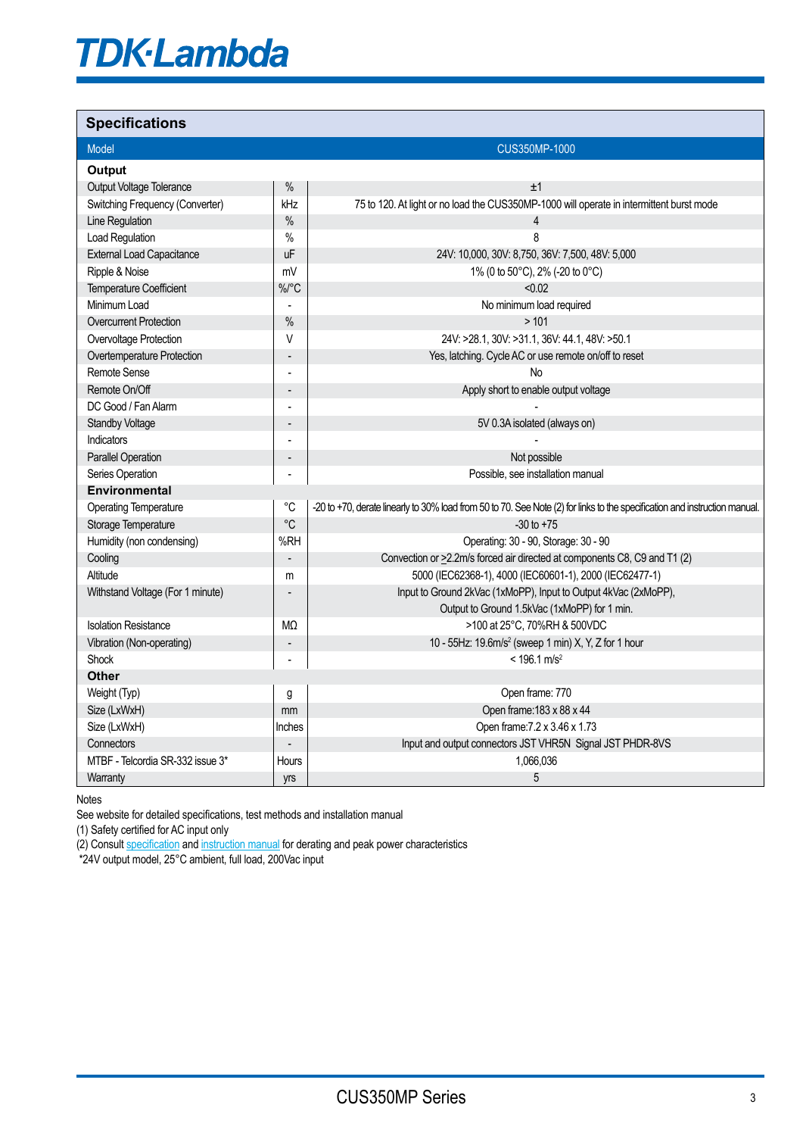# **TDK-Lambda**

### **Specifications**

| <b>Model</b>                     |                          | <b>CUS350MP-1000</b>                                                                                                       |
|----------------------------------|--------------------------|----------------------------------------------------------------------------------------------------------------------------|
| <b>Output</b>                    |                          |                                                                                                                            |
| Output Voltage Tolerance         | $\%$                     | ±1                                                                                                                         |
| Switching Frequency (Converter)  | kHz                      | 75 to 120. At light or no load the CUS350MP-1000 will operate in intermittent burst mode                                   |
| Line Regulation                  | $\%$                     | 4                                                                                                                          |
| Load Regulation                  | $\%$                     | 8                                                                                                                          |
| <b>External Load Capacitance</b> | uF                       | 24V: 10,000, 30V: 8,750, 36V: 7,500, 48V: 5,000                                                                            |
| Ripple & Noise                   | mV                       | 1% (0 to 50°C), 2% (-20 to 0°C)                                                                                            |
| <b>Temperature Coefficient</b>   | %/°C                     | < 0.02                                                                                                                     |
| Minimum Load                     |                          | No minimum load required                                                                                                   |
| <b>Overcurrent Protection</b>    | $\%$                     | >101                                                                                                                       |
| Overvoltage Protection           | V                        | 24V: >28.1, 30V: >31.1, 36V: 44.1, 48V: >50.1                                                                              |
| Overtemperature Protection       | $\overline{a}$           | Yes, latching. Cycle AC or use remote on/off to reset                                                                      |
| Remote Sense                     | $\overline{a}$           | No                                                                                                                         |
| Remote On/Off                    | $\overline{\phantom{a}}$ | Apply short to enable output voltage                                                                                       |
| DC Good / Fan Alarm              |                          |                                                                                                                            |
| <b>Standby Voltage</b>           | $\overline{a}$           | 5V 0.3A isolated (always on)                                                                                               |
| Indicators                       |                          |                                                                                                                            |
| <b>Parallel Operation</b>        |                          | Not possible                                                                                                               |
| Series Operation                 |                          | Possible, see installation manual                                                                                          |
| Environmental                    |                          |                                                                                                                            |
| <b>Operating Temperature</b>     | $^{\circ}C$              | -20 to +70, derate linearly to 30% load from 50 to 70. See Note (2) for links to the specification and instruction manual. |
| Storage Temperature              | $\mathrm{^{\circ}C}$     | $-30$ to $+75$                                                                                                             |
| Humidity (non condensing)        | %RH                      | Operating: 30 - 90, Storage: 30 - 90                                                                                       |
| Cooling                          |                          | Convection or >2.2m/s forced air directed at components C8, C9 and T1 (2)                                                  |
| Altitude                         | m                        | 5000 (IEC62368-1), 4000 (IEC60601-1), 2000 (IEC62477-1)                                                                    |
| Withstand Voltage (For 1 minute) |                          | Input to Ground 2kVac (1xMoPP), Input to Output 4kVac (2xMoPP),                                                            |
|                                  |                          | Output to Ground 1.5kVac (1xMoPP) for 1 min.                                                                               |
| <b>Isolation Resistance</b>      | M <sub>2</sub>           | >100 at 25°C, 70%RH & 500VDC                                                                                               |
| Vibration (Non-operating)        |                          | 10 - 55Hz: 19.6m/s <sup>2</sup> (sweep 1 min) X, Y, Z for 1 hour                                                           |
| Shock                            | ÷,                       | $< 196.1$ m/s <sup>2</sup>                                                                                                 |
| <b>Other</b>                     |                          |                                                                                                                            |
| Weight (Typ)                     | g                        | Open frame: 770                                                                                                            |
| Size (LxWxH)                     | mm                       | Open frame: 183 x 88 x 44                                                                                                  |
| Size (LxWxH)                     | Inches                   | Open frame: 7.2 x 3.46 x 1.73                                                                                              |
| <b>Connectors</b>                |                          | Input and output connectors JST VHR5N Signal JST PHDR-8VS                                                                  |
| MTBF - Telcordia SR-332 issue 3* | Hours                    | 1,066,036                                                                                                                  |
| Warranty                         | yrs                      | 5                                                                                                                          |

Notes

See website for detailed specifications, test methods and installation manual

(1) Safety certified for AC input only

(2) Consult [specification](https://product.tdk.com/system/files/dam/doc/product/power/switching-power/ac-dc-converter/specification/cus350mp-1000_spc.pdf) and [instruction manual](https://product.tdk.com/system/files/dam/doc/product/power/switching-power/ac-dc-converter/instruction_manual/cus350mp-1000_apl.pdf) for derating and peak power characteristics

\*24V output model, 25°C ambient, full load, 200Vac input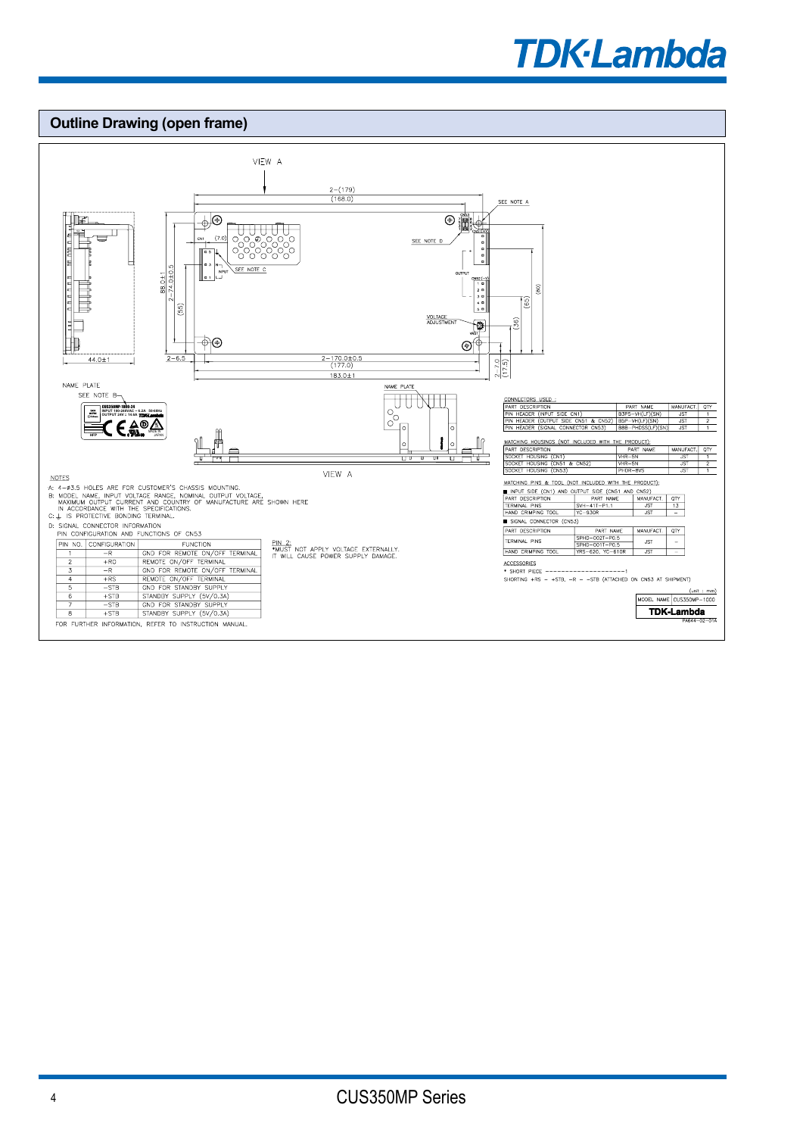## **TDK**·Lambda

#### **Outline Drawing (open frame)** VIEW A  $\frac{2-(179)}{(168.0)}$ SEE NOTE A  $\overline{\mathbb{P}^{\bigcirc}}$  $\circ$  iii محالا  $\overline{\mathbf{u}}$  $(7.0)$ 'n CN1 SEE NOTE ¶"" ∦ SEE NOTE C 88.0±1<br>74.0±0.5  $\widehat{a}$ Ī®  $(55)$ **VOLTAGE**<br>ADJUSTMENT  $\overline{36}$ ক্⊕  $\circledcirc$  $\frac{44.0 \pm 1}{4}$  $2 - 6.5$  $\frac{2-170.0\pm0.5}{(177.0)}$  $\frac{2-7.0}{(17.5)}$  $\frac{1}{183.0 \pm 1}$ NAME PLATE NAME PLATE SEE NOTE B-DESCRIPTION<br>
EADER (INPUT SIDE CN1) B3P5-VH(LF)(SN)<br>
EADER (OUTPUT SIDE CN51 & CN52) B3P5-VH(LF)(SN)<br>
EADER (SICNAL CONNECTOR CN53) BBB-PHOSS(IE)(SN) MANUFACT. QTY  $\frac{1}{2}$ CUS350MP-1000-24 **INPUT 100-240VAC ~ 6.2A 50-60Hz**   $rac{151}{151}$  $\frac{1}{2}$ **OUTPUT 24V 14.6A** MADE IN**HFP** JAPAN  $\overline{\phantom{a}}$ HOUS THE PRODUCT); ە| |c NUFACT SCRIPTION<br>HOUSING (CN1)<br>HOUSING (CN51<br>HOUSING (CN53  $\frac{PRH}{VHR-5N}$ <br>VHR-5N<br>PHDR-8VS 号史  $\overline{u}$  $\overline{\phantom{a}}$  $\overline{\phantom{a}}$ SOCKET JST<br>JST<br>JST  $\overline{\text{c}}$  CN52  $\frac{1}{1}$ VIEW A **NOTES** MATCHING PINS & TOOL (NOT INCLUDED WITH THE PRODUCT): ALLES ARE FOR CUSTOMER'S CHASSIS MOUNTING.<br>
A: 4-03.5 HOLES ARE FOR CUSTOMER'S CHASSIS MOUNTING.<br>
B: MODEL NAME, INPUT VOLTAGE RANGE, NOMINAL OUTPUT VOLTAGE,<br>
MAXIMUM OUTPUT CURRENT AND COUNTRY OF MANUFACTURE ARE SHOWN HER THE MINUTED CONTROL TO BE CHEEN TO CONTROL TO THE MINUTED CONTROL TO THE MINUTED CONTROL TO THE MINUTED CONTROL TO THE THE MINUTED CONTROL TO THE MINUTED CONTROL TO THE MINUTED THE MINUTED ON THE THE MINUTED THE MINUTED ON SIGNAL CONNECTOR (CN53 D: SIGNAL CONNECTOR INFORMATION<br>
PIN CONFIGURATION AND FUNCTIONS OF CN53 PART DESCRIPTION **ANUFACT**  $QTY$ PART NAME<br>SPHD-002T-P0.5<br>SPHD-001T-P0.5<br>YRS-620, YC-610R FINCTION<br>
TUNCTION<br>
REMOTE ON/OFF TERMINAL<br>
REMOTE ON/OFF TERMINAL<br>
GND FOR REMOTE ON/OFF TERMINAL<br>
REMOTE ON/OFF TERMINAL<br>
REMOTE ON/OFF TERMINAL<br>

GTUADE ON FIGURE SUPPLY TERMINAL PINS <u>JST</u> <u>PIN 2:</u><br>\*MUST NOT APPLY VOLTAGE EXTERNALLY.<br>IT WILL CAUSE POWER SUPPLY DAMAGE. PIN NO. CONFIGURATION HAND CRIMPING TOO .<br>JST  $+RO$  $\overline{R}$  $rac{R}{+RS}$ <br>-STE STANDBY SUPPLY (5V/0.3A)<br>
CND FOR STANDBY SUPPLY<br>
STANDBY SUPPLY (5V/0.3A)  $\boxed{\text{MODEL NAME} \begin{bmatrix} \text{unit}: \text{mm} \\ \text{CUS350MP} - 1000 \end{bmatrix}}$  $\frac{+STB}{+STB}$ <br> $\frac{-STB}{+STB}$  $\overline{\phantom{a}}$ **TDK-Lambda**  $\overline{\mathbf{g}}$ FOR FURTHER INFORMATION, REFER TO INSTRUCTION MANUAL.